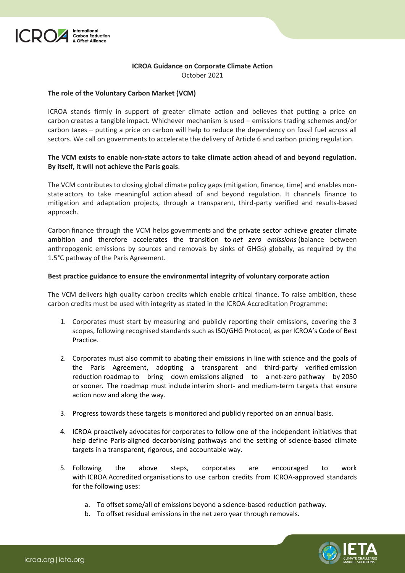

# **ICROA Guidance on Corporate Climate Action** October 2021

## **The role of the Voluntary Carbon Market (VCM)**

ICROA stands firmly in support of greater climate action and believes that putting a price on carbon creates a tangible impact. Whichever mechanism is used – emissions trading schemes and/or carbon taxes – putting a price on carbon will help to reduce the dependency on fossil fuel across all sectors. We call on governments to accelerate the delivery of Article 6 and carbon pricing regulation.

## **The VCM exists to enable non-state actors to take climate action ahead of and beyond regulation. By itself, it will not achieve the Paris goals**.

The VCM contributes to closing global climate policy gaps (mitigation, finance, time) and enables nonstate actors to take meaningful action ahead of and beyond regulation. It channels finance to mitigation and adaptation projects, through a transparent, third-party verified and results-based approach.

Carbon finance through the VCM helps governments and the private sector achieve greater climate ambition and therefore accelerates the transition to *net zero emissions* (balance between anthropogenic emissions by sources and removals by sinks of GHGs) globally, as required by the 1.5°C pathway of the Paris Agreement.

## **Best practice guidance to ensure the environmental integrity of voluntary corporate action**

The VCM delivers high quality carbon credits which enable critical finance. To raise ambition, these carbon credits must be used with integrity as stated in the ICROA Accreditation Programme:

- 1. Corporates must start by measuring and publicly reporting their emissions, covering the 3 scopes, following recognised standards such as ISO/GHG Protocol, as per ICROA's Code of Best Practice.
- 2. Corporates must also commit to abating their emissions in line with science and the goals of the Paris Agreement, adopting a transparent and third-party verified emission reduction roadmap to bring down emissions aligned to a net-zero pathway by 2050 or sooner. The roadmap must include interim short- and medium-term targets that ensure action now and along the way.
- 3. Progress towards these targets is monitored and publicly reported on an annual basis.
- 4. ICROA proactively advocates for corporates to follow one of the independent initiatives that help define Paris-aligned decarbonising pathways and the setting of science-based climate targets in a transparent, rigorous, and accountable way.
- 5. Following the above steps, corporates are encouraged to work with ICROA Accredited organisations to use carbon credits from ICROA-approved standards for the following uses:
	- a. To offset some/all of emissions beyond a science-based reduction pathway.
	- b. To offset residual emissions in the net zero year through removals.